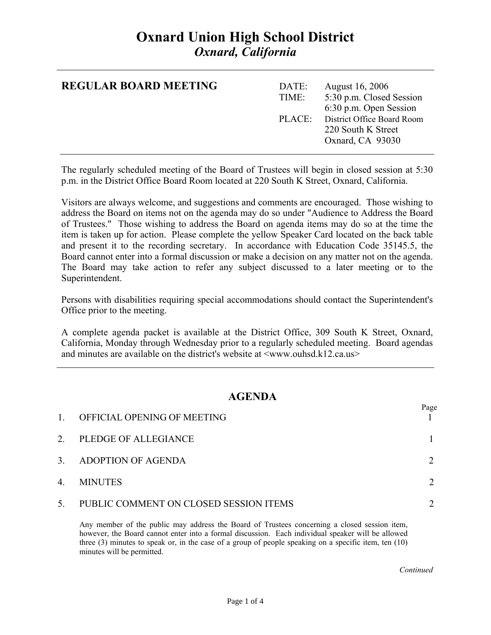# **Oxnard Union High School District**  *Oxnard, California*

| <b>REGULAR BOARD MEETING</b> | DATE:<br>TIME: | <b>August 16, 2006</b><br>5:30 p.m. Closed Session<br>6:30 p.m. Open Session |
|------------------------------|----------------|------------------------------------------------------------------------------|
|                              |                | PLACE: District Office Board Room<br>220 South K Street<br>Oxnard, CA 93030  |

The regularly scheduled meeting of the Board of Trustees will begin in closed session at 5:30 p.m. in the District Office Board Room located at 220 South K Street, Oxnard, California.

Visitors are always welcome, and suggestions and comments are encouraged. Those wishing to address the Board on items not on the agenda may do so under "Audience to Address the Board of Trustees." Those wishing to address the Board on agenda items may do so at the time the item is taken up for action. Please complete the yellow Speaker Card located on the back table and present it to the recording secretary. In accordance with Education Code 35145.5, the Board cannot enter into a formal discussion or make a decision on any matter not on the agenda. The Board may take action to refer any subject discussed to a later meeting or to the Superintendent.

Persons with disabilities requiring special accommodations should contact the Superintendent's Office prior to the meeting.

A complete agenda packet is available at the District Office, 309 South K Street, Oxnard, California, Monday through Wednesday prior to a regularly scheduled meeting. Board agendas and minutes are available on the district's website at  $\langle$ www.ouhsd.k12.ca.us $>$ 

### **AGENDA**

| $\mathbf{1}$ | OFFICIAL OPENING OF MEETING            | Page |
|--------------|----------------------------------------|------|
| 2.           | PLEDGE OF ALLEGIANCE                   |      |
| 3.           | ADOPTION OF AGENDA                     |      |
| 4.           | <b>MINUTES</b>                         |      |
| 5.           | PUBLIC COMMENT ON CLOSED SESSION ITEMS |      |

Any member of the public may address the Board of Trustees concerning a closed session item, however, the Board cannot enter into a formal discussion. Each individual speaker will be allowed three (3) minutes to speak or, in the case of a group of people speaking on a specific item, ten (10) minutes will be permitted.

*Continued Continued*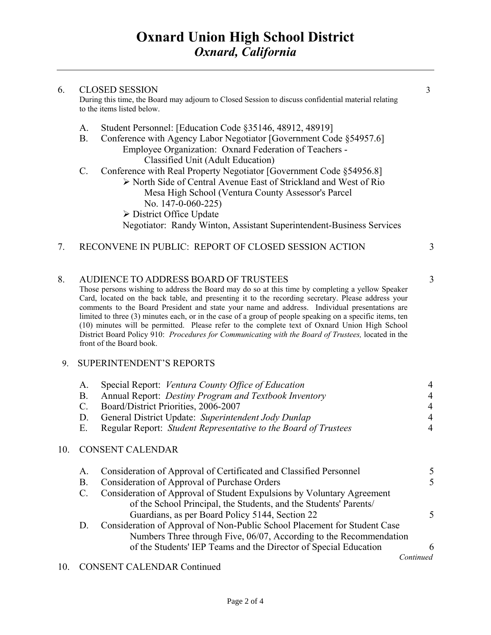## 6. CLOSED SESSION 3 During this time, the Board may adjourn to Closed Session to discuss confidential material relating to the items listed below. A. Student Personnel: [Education Code §35146, 48912, 48919] B. Conference with Agency Labor Negotiator [Government Code §54957.6] Employee Organization: Oxnard Federation of Teachers - Classified Unit (Adult Education) C. Conference with Real Property Negotiator [Government Code §54956.8] ¾ North Side of Central Avenue East of Strickland and West of Rio Mesa High School (Ventura County Assessor's Parcel No. 147-0-060-225)  $\triangleright$  District Office Update Negotiator: Randy Winton, Assistant Superintendent-Business Services 7. RECONVENE IN PUBLIC: REPORT OF CLOSED SESSION ACTION 3

8. AUDIENCE TO ADDRESS BOARD OF TRUSTEES 3 Those persons wishing to address the Board may do so at this time by completing a yellow Speaker Card, located on the back table, and presenting it to the recording secretary. Please address your comments to the Board President and state your name and address. Individual presentations are limited to three (3) minutes each, or in the case of a group of people speaking on a specific items, ten (10) minutes will be permitted. Please refer to the complete text of Oxnard Union High School District Board Policy 910: *Procedures for Communicating with the Board of Trustees,* located in the front of the Board book.

#### 9. SUPERINTENDENT'S REPORTS

| $A_{\cdot}$ | Special Report: Ventura County Office of Education              | 4 |
|-------------|-----------------------------------------------------------------|---|
| <b>B</b> .  | Annual Report: <i>Destiny Program and Textbook Inventory</i>    | 4 |
| C.          | Board/District Priorities, 2006-2007                            | 4 |
| $D_{\rm c}$ | General District Update: Superintendent Jody Dunlap             | 4 |
| - E.        | Regular Report: Student Representative to the Board of Trustees | 4 |
|             |                                                                 |   |

### 10. CONSENT CALENDAR

| A. | Consideration of Approval of Certificated and Classified Personnel        | 5.        |
|----|---------------------------------------------------------------------------|-----------|
| Β. | Consideration of Approval of Purchase Orders                              | 5         |
| C. | Consideration of Approval of Student Expulsions by Voluntary Agreement    |           |
|    | of the School Principal, the Students, and the Students' Parents/         |           |
|    | Guardians, as per Board Policy 5144, Section 22                           |           |
| D. | Consideration of Approval of Non-Public School Placement for Student Case |           |
|    | Numbers Three through Five, 06/07, According to the Recommendation        |           |
|    | of the Students' IEP Teams and the Director of Special Education          | 6         |
|    |                                                                           | Continued |
|    |                                                                           |           |

#### 10. CONSENT CALENDAR Continued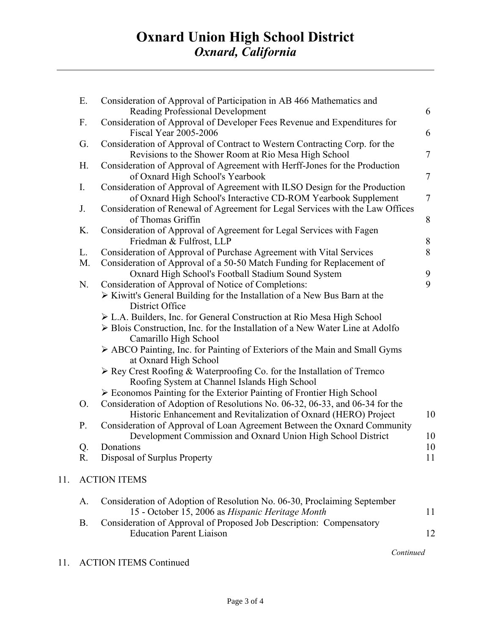|     | Ε.          | Consideration of Approval of Participation in AB 466 Mathematics and                                                                             |                |
|-----|-------------|--------------------------------------------------------------------------------------------------------------------------------------------------|----------------|
|     |             | Reading Professional Development                                                                                                                 | 6              |
|     | F.          | Consideration of Approval of Developer Fees Revenue and Expenditures for<br><b>Fiscal Year 2005-2006</b>                                         | 6              |
|     | G.          | Consideration of Approval of Contract to Western Contracting Corp. for the<br>Revisions to the Shower Room at Rio Mesa High School               | $\overline{7}$ |
|     | H.          | Consideration of Approval of Agreement with Herff-Jones for the Production<br>of Oxnard High School's Yearbook                                   | $\tau$         |
|     | $I_{\cdot}$ | Consideration of Approval of Agreement with ILSO Design for the Production<br>of Oxnard High School's Interactive CD-ROM Yearbook Supplement     | $\tau$         |
|     | J.          | Consideration of Renewal of Agreement for Legal Services with the Law Offices<br>of Thomas Griffin                                               | 8              |
|     | K.          | Consideration of Approval of Agreement for Legal Services with Fagen<br>Friedman & Fulfrost, LLP                                                 | 8              |
|     | L.          | Consideration of Approval of Purchase Agreement with Vital Services                                                                              | 8              |
|     | M.          | Consideration of Approval of a 50-50 Match Funding for Replacement of                                                                            |                |
|     |             | Oxnard High School's Football Stadium Sound System                                                                                               | 9              |
|     | N.          | Consideration of Approval of Notice of Completions:                                                                                              | 9              |
|     |             | $\triangleright$ Kiwitt's General Building for the Installation of a New Bus Barn at the<br>District Office                                      |                |
|     |             | $\triangleright$ L.A. Builders, Inc. for General Construction at Rio Mesa High School                                                            |                |
|     |             | > Blois Construction, Inc. for the Installation of a New Water Line at Adolfo<br>Camarillo High School                                           |                |
|     |             | > ABCO Painting, Inc. for Painting of Exteriors of the Main and Small Gyms<br>at Oxnard High School                                              |                |
|     |             | $\triangleright$ Rey Crest Roofing & Waterproofing Co. for the Installation of Tremco<br>Roofing System at Channel Islands High School           |                |
|     |             | $\triangleright$ Economos Painting for the Exterior Painting of Frontier High School                                                             |                |
|     | O.          | Consideration of Adoption of Resolutions No. 06-32, 06-33, and 06-34 for the<br>Historic Enhancement and Revitalization of Oxnard (HERO) Project | 10             |
|     | P.          | Consideration of Approval of Loan Agreement Between the Oxnard Community                                                                         |                |
|     |             | Development Commission and Oxnard Union High School District                                                                                     | 10             |
|     | Q.          | Donations                                                                                                                                        | 10             |
|     | R.          | Disposal of Surplus Property                                                                                                                     | 11             |
| 11. |             | <b>ACTION ITEMS</b>                                                                                                                              |                |
|     | A.          | Consideration of Adoption of Resolution No. 06-30, Proclaiming September<br>15 - October 15, 2006 as Hispanic Heritage Month                     | 11             |
|     | <b>B.</b>   | Consideration of Approval of Proposed Job Description: Compensatory                                                                              |                |
|     |             | <b>Education Parent Liaison</b>                                                                                                                  | 12             |

11. ACTION ITEMS Continued

 $11.$ 

 *Continued*